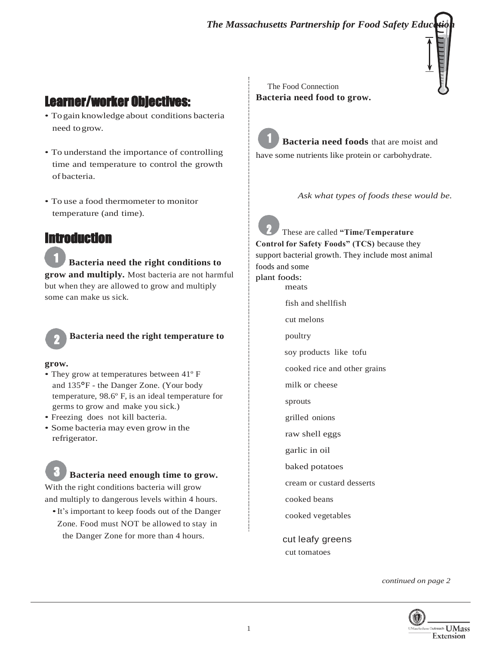

# Learner/worker Objectives:

- Togain knowledge about conditions bacteria need togrow.
- To understand the importance of controlling time and temperature to control the growth of bacteria.
- To use a food thermometer to monitor temperature (and time).

### **Introduction**

1 **Bacteria need the right conditions to grow and multiply.** Most bacteria are not harmful but when they are allowed to grow and multiply some can make us sick.



**Bacteria need the right temperature to**

#### **grow.**

3

- They grow at temperatures between 41º F and 135°F - the Danger Zone. (Your body temperature, 98.6º F, is an ideal temperature for germs to grow and make you sick.)
- Freezing does not kill bacteria.
- Some bacteria may even grow in the refrigerator.

## **Bacteria need enough time to grow.**

With the right conditions bacteria will grow and multiply to dangerous levels within 4 hours.

•It's important to keep foods out of the Danger Zone. Food must NOT be allowed to stay in the Danger Zone for more than 4 hours.

The Food Connection **Bacteria need food to grow.**

1 **Bacteria need foods** that are moist and have some nutrients like protein or carbohydrate.

*Ask what types of foods these would be.*

2 These are called **"Time/Temperature Control for Safety Foods" (TCS)** because they support bacterial growth. They include most animal foods and some plant foods: meats fish and shellfish cut melons poultry soy products like tofu cooked rice and other grains milk or cheese sprouts grilled onions raw shell eggs garlic in oil baked potatoes cream or custard desserts cooked beans cooked vegetables

> cut leafy greens cut tomatoes

> > *continued on page 2*

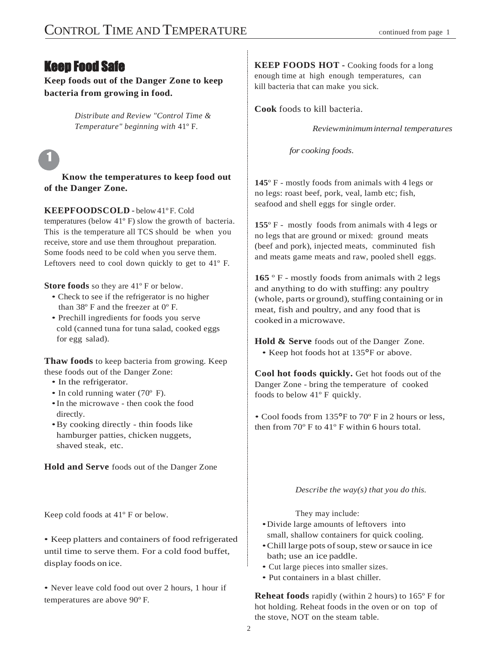## Keep Food Safe

**Keep foods out of the Danger Zone to keep bacteria from growing in food.**

> *Distribute and Review "Control Time & Temperature" beginning with* 41º F*.*

 $\mathbf{1}$ 

**Know the temperatures to keep food out of the Danger Zone.**

#### **KEEPFOODSCOLD** - below 41ºF. Cold

temperatures (below 41º F) slow the growth of bacteria. This is the temperature all TCS should be when you receive, store and use them throughout preparation. Some foods need to be cold when you serve them. Leftovers need to cool down quickly to get to 41º F.

**Store foods** so they are 41º F or below.

- Check to see if the refrigerator is no higher than  $38^{\circ}$  F and the freezer at  $0^{\circ}$  F.
- Prechill ingredients for foods you serve cold (canned tuna for tuna salad, cooked eggs for egg salad).

**Thaw foods** to keep bacteria from growing. Keep these foods out of the Danger Zone:

- In the refrigerator.
- In cold running water (70° F).
- •In the microwave then cook the food directly.
- •By cooking directly thin foods like hamburger patties, chicken nuggets, shaved steak, etc.

**Hold and Serve** foods out of the Danger Zone

Keep cold foods at 41º F or below.

• Keep platters and containers of food refrigerated until time to serve them. For a cold food buffet, display foods on ice.

• Never leave cold food out over 2 hours, 1 hour if temperatures are above 90º F.

**KEEP FOODS HOT -** Cooking foods for a long enough time at high enough temperatures, can kill bacteria that can make you sick.

**Cook** foods to kill bacteria.

*Reviewminimuminternal temperatures*

*for cooking foods.*

**145**º F - mostly foods from animals with 4 legs or no legs: roast beef, pork, veal, lamb etc; fish, seafood and shell eggs for single order.

**155**º F - mostly foods from animals with 4 legs or no legs that are ground or mixed: ground meats (beef and pork), injected meats, comminuted fish and meats game meats and raw, pooled shell eggs.

**165** º F - mostly foods from animals with 2 legs and anything to do with stuffing: any poultry (whole, parts or ground), stuffing containing or in meat, fish and poultry, and any food that is cooked in a microwave.

**Hold & Serve** foods out of the Danger Zone. • Keep hot foods hot at 135°F or above.

**Cool hot foods quickly.** Get hot foods out of the Danger Zone - bring the temperature of cooked foods to below 41º F quickly.

*•* Cool foods from 135°F to 70º F in 2 hours or less, then from 70º F to 41º F within 6 hours total.

*Describe the way(s) that you do this.*

They may include:

- •Divide large amounts of leftovers into small, shallow containers for quick cooling.
- •Chilllarge pots ofsoup,stew orsauce in ice bath; use an ice paddle.
- Cut large pieces into smaller sizes.
- Put containers in a blast chiller.

**Reheat foods** rapidly (within 2 hours) to 165º F for hot holding. Reheat foods in the oven or on top of the stove, NOT on the steam table.